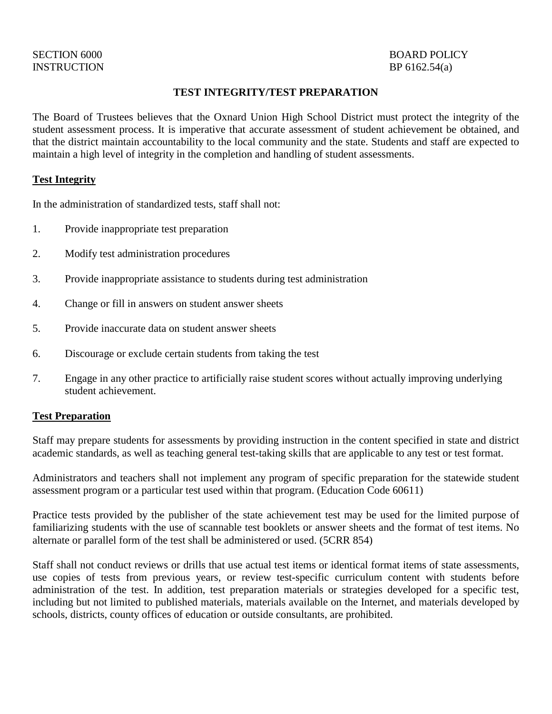# INSTRUCTION BP 6162.54(a)

## **TEST INTEGRITY/TEST PREPARATION**

The Board of Trustees believes that the Oxnard Union High School District must protect the integrity of the student assessment process. It is imperative that accurate assessment of student achievement be obtained, and that the district maintain accountability to the local community and the state. Students and staff are expected to maintain a high level of integrity in the completion and handling of student assessments.

### **Test Integrity**

In the administration of standardized tests, staff shall not:

- 1. Provide inappropriate test preparation
- 2. Modify test administration procedures
- 3. Provide inappropriate assistance to students during test administration
- 4. Change or fill in answers on student answer sheets
- 5. Provide inaccurate data on student answer sheets
- 6. Discourage or exclude certain students from taking the test
- 7. Engage in any other practice to artificially raise student scores without actually improving underlying student achievement.

## **Test Preparation**

Staff may prepare students for assessments by providing instruction in the content specified in state and district academic standards, as well as teaching general test-taking skills that are applicable to any test or test format.

Administrators and teachers shall not implement any program of specific preparation for the statewide student assessment program or a particular test used within that program. (Education Code 60611)

Practice tests provided by the publisher of the state achievement test may be used for the limited purpose of familiarizing students with the use of scannable test booklets or answer sheets and the format of test items. No alternate or parallel form of the test shall be administered or used. (5CRR 854)

Staff shall not conduct reviews or drills that use actual test items or identical format items of state assessments, use copies of tests from previous years, or review test-specific curriculum content with students before administration of the test. In addition, test preparation materials or strategies developed for a specific test, including but not limited to published materials, materials available on the Internet, and materials developed by schools, districts, county offices of education or outside consultants, are prohibited.